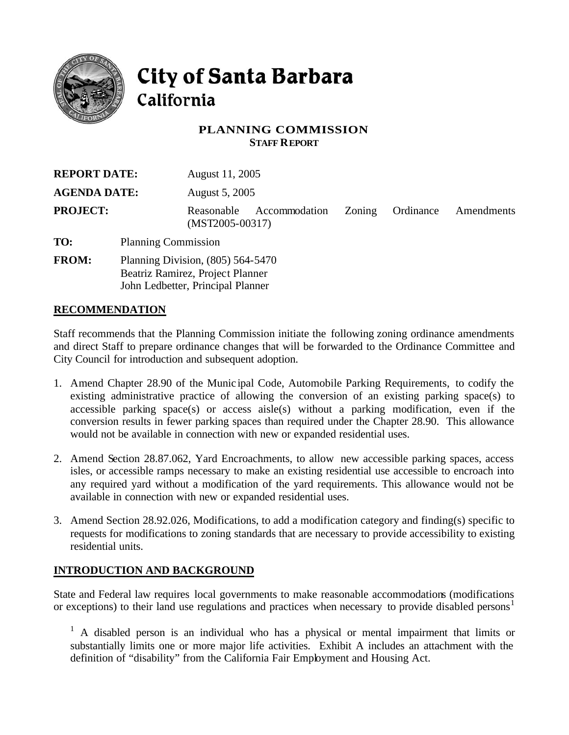

# City of Santa Barbara California

### **PLANNING COMMISSION STAFF REPORT**

| <b>REPORT DATE:</b> |                                                                                                            | August 11, 2005                 |               |        |           |            |
|---------------------|------------------------------------------------------------------------------------------------------------|---------------------------------|---------------|--------|-----------|------------|
| <b>AGENDA DATE:</b> |                                                                                                            | August 5, 2005                  |               |        |           |            |
| <b>PROJECT:</b>     |                                                                                                            | Reasonable<br>$(MST2005-00317)$ | Accommodation | Zoning | Ordinance | Amendments |
| TO:                 | <b>Planning Commission</b>                                                                                 |                                 |               |        |           |            |
| <b>FROM:</b>        | Planning Division, (805) 564-5470<br>Beatriz Ramirez, Project Planner<br>John Ledbetter, Principal Planner |                                 |               |        |           |            |

## **RECOMMENDATION**

Staff recommends that the Planning Commission initiate the following zoning ordinance amendments and direct Staff to prepare ordinance changes that will be forwarded to the Ordinance Committee and City Council for introduction and subsequent adoption.

- 1. Amend Chapter 28.90 of the Munic ipal Code, Automobile Parking Requirements, to codify the existing administrative practice of allowing the conversion of an existing parking space(s) to accessible parking space(s) or access aisle(s) without a parking modification, even if the conversion results in fewer parking spaces than required under the Chapter 28.90. This allowance would not be available in connection with new or expanded residential uses.
- 2. Amend Section 28.87.062, Yard Encroachments, to allow new accessible parking spaces, access isles, or accessible ramps necessary to make an existing residential use accessible to encroach into any required yard without a modification of the yard requirements. This allowance would not be available in connection with new or expanded residential uses.
- 3. Amend Section 28.92.026, Modifications, to add a modification category and finding(s) specific to requests for modifications to zoning standards that are necessary to provide accessibility to existing residential units.

## **INTRODUCTION AND BACKGROUND**

State and Federal law requires local governments to make reasonable accommodations (modifications or exceptions) to their land use regulations and practices when necessary to provide disabled persons<sup>1</sup>

<sup>1</sup> A disabled person is an individual who has a physical or mental impairment that limits or substantially limits one or more major life activities. Exhibit A includes an attachment with the definition of "disability" from the California Fair Employment and Housing Act.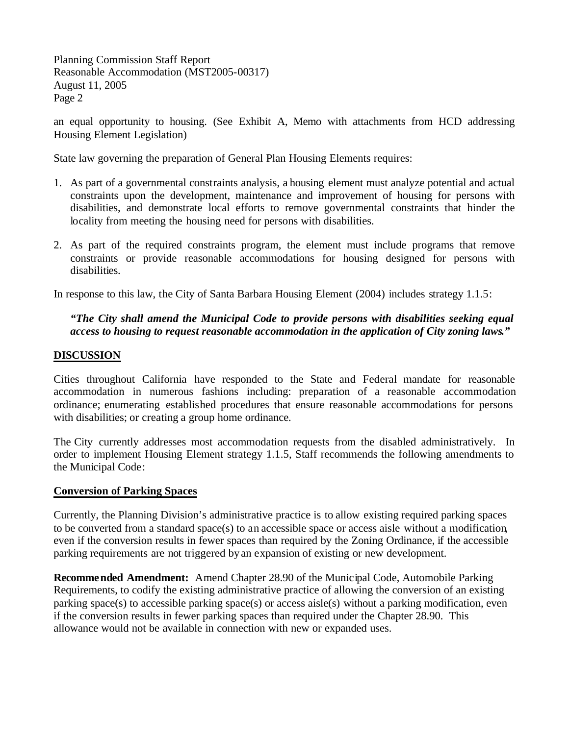Planning Commission Staff Report Reasonable Accommodation (MST2005-00317) August 11, 2005 Page 2

an equal opportunity to housing. (See Exhibit A, Memo with attachments from HCD addressing Housing Element Legislation)

State law governing the preparation of General Plan Housing Elements requires:

- 1. As part of a governmental constraints analysis, a housing element must analyze potential and actual constraints upon the development, maintenance and improvement of housing for persons with disabilities, and demonstrate local efforts to remove governmental constraints that hinder the locality from meeting the housing need for persons with disabilities.
- 2. As part of the required constraints program, the element must include programs that remove constraints or provide reasonable accommodations for housing designed for persons with disabilities.

In response to this law, the City of Santa Barbara Housing Element (2004) includes strategy 1.1.5:

## *"The City shall amend the Municipal Code to provide persons with disabilities seeking equal access to housing to request reasonable accommodation in the application of City zoning laws."*

### **DISCUSSION**

Cities throughout California have responded to the State and Federal mandate for reasonable accommodation in numerous fashions including: preparation of a reasonable accommodation ordinance; enumerating established procedures that ensure reasonable accommodations for persons with disabilities; or creating a group home ordinance.

The City currently addresses most accommodation requests from the disabled administratively. In order to implement Housing Element strategy 1.1.5, Staff recommends the following amendments to the Municipal Code:

#### **Conversion of Parking Spaces**

Currently, the Planning Division's administrative practice is to allow existing required parking spaces to be converted from a standard space(s) to an accessible space or access aisle without a modification, even if the conversion results in fewer spaces than required by the Zoning Ordinance, if the accessible parking requirements are not triggered by an expansion of existing or new development.

**Recommended Amendment:** Amend Chapter 28.90 of the Municipal Code, Automobile Parking Requirements, to codify the existing administrative practice of allowing the conversion of an existing parking space(s) to accessible parking space(s) or access aisle(s) without a parking modification, even if the conversion results in fewer parking spaces than required under the Chapter 28.90. This allowance would not be available in connection with new or expanded uses.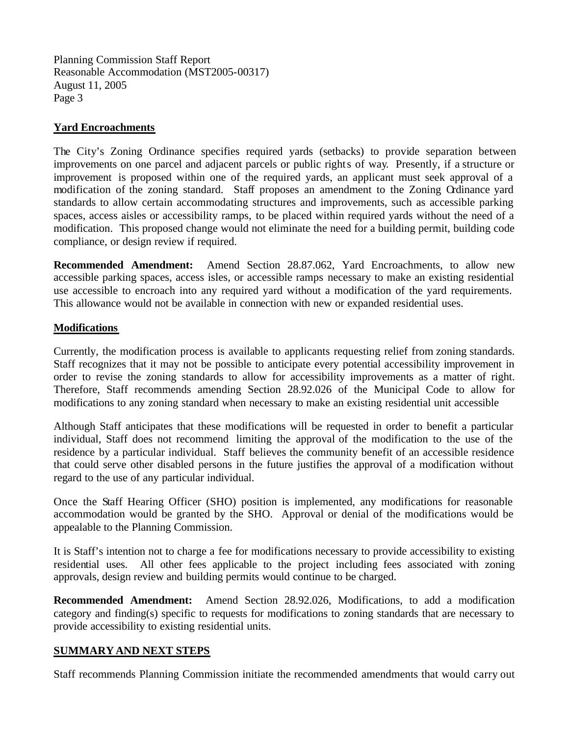Planning Commission Staff Report Reasonable Accommodation (MST2005-00317) August 11, 2005 Page 3

## **Yard Encroachments**

The City's Zoning Ordinance specifies required yards (setbacks) to provide separation between improvements on one parcel and adjacent parcels or public rights of way. Presently, if a structure or improvement is proposed within one of the required yards, an applicant must seek approval of a modification of the zoning standard. Staff proposes an amendment to the Zoning Ordinance yard standards to allow certain accommodating structures and improvements, such as accessible parking spaces, access aisles or accessibility ramps, to be placed within required yards without the need of a modification. This proposed change would not eliminate the need for a building permit, building code compliance, or design review if required.

**Recommended Amendment:** Amend Section 28.87.062, Yard Encroachments, to allow new accessible parking spaces, access isles, or accessible ramps necessary to make an existing residential use accessible to encroach into any required yard without a modification of the yard requirements. This allowance would not be available in connection with new or expanded residential uses.

## **Modifications**

Currently, the modification process is available to applicants requesting relief from zoning standards. Staff recognizes that it may not be possible to anticipate every potential accessibility improvement in order to revise the zoning standards to allow for accessibility improvements as a matter of right. Therefore, Staff recommends amending Section 28.92.026 of the Municipal Code to allow for modifications to any zoning standard when necessary to make an existing residential unit accessible

Although Staff anticipates that these modifications will be requested in order to benefit a particular individual, Staff does not recommend limiting the approval of the modification to the use of the residence by a particular individual. Staff believes the community benefit of an accessible residence that could serve other disabled persons in the future justifies the approval of a modification without regard to the use of any particular individual.

Once the Staff Hearing Officer (SHO) position is implemented, any modifications for reasonable accommodation would be granted by the SHO. Approval or denial of the modifications would be appealable to the Planning Commission.

It is Staff's intention not to charge a fee for modifications necessary to provide accessibility to existing residential uses. All other fees applicable to the project including fees associated with zoning approvals, design review and building permits would continue to be charged.

**Recommended Amendment:** Amend Section 28.92.026, Modifications, to add a modification category and finding(s) specific to requests for modifications to zoning standards that are necessary to provide accessibility to existing residential units.

## **SUMMARY AND NEXT STEPS**

Staff recommends Planning Commission initiate the recommended amendments that would carry out